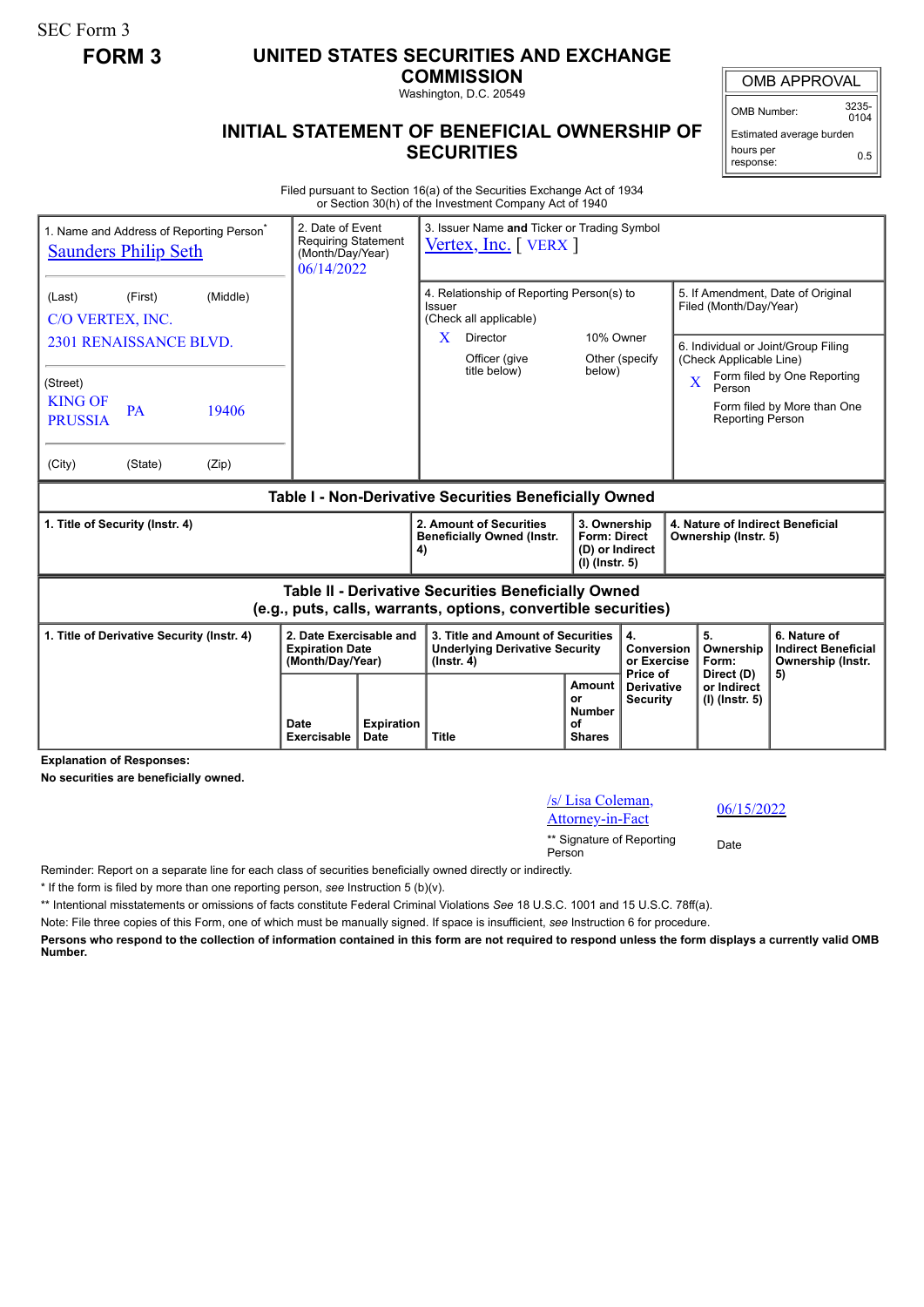SEC Form 3

## **FORM 3 UNITED STATES SECURITIES AND EXCHANGE**

**COMMISSION**

Washington, D.C. 20549

## **INITIAL STATEMENT OF BENEFICIAL OWNERSHIP OF SECURITIES**

OMB APPROVAL OMB Number: 3235-

 $0104$ Estimated average burden hours per response: 0.5

Filed pursuant to Section 16(a) of the Securities Exchange Act of 1934 or Section 30(h) of the Investment Company Act of 1940

|                                                        | 1. Name and Address of Reporting Person <sup>®</sup><br><b>Saunders Philip Seth</b> |          | 2. Date of Event<br><b>Requiring Statement</b><br>(Month/Day/Year)<br>06/14/2022 |  | 3. Issuer Name and Ticker or Trading Symbol<br>$Vertex, Inc.$ [ $VERX$ ]                                              |                                                                          |                                                                    |                                                                |                                                                       |  |  |
|--------------------------------------------------------|-------------------------------------------------------------------------------------|----------|----------------------------------------------------------------------------------|--|-----------------------------------------------------------------------------------------------------------------------|--------------------------------------------------------------------------|--------------------------------------------------------------------|----------------------------------------------------------------|-----------------------------------------------------------------------|--|--|
| (Last)<br>C/O VERTEX, INC.                             | (First)                                                                             | (Middle) |                                                                                  |  | 4. Relationship of Reporting Person(s) to<br>Issuer<br>(Check all applicable)                                         |                                                                          |                                                                    | 5. If Amendment, Date of Original<br>Filed (Month/Day/Year)    |                                                                       |  |  |
|                                                        | 2301 RENAISSANCE BLVD.                                                              |          |                                                                                  |  | Director<br>X.                                                                                                        | 10% Owner<br>Other (specify                                              |                                                                    | 6. Individual or Joint/Group Filing<br>(Check Applicable Line) |                                                                       |  |  |
| (Street)<br><b>KING OF</b><br><b>PRUSSIA</b>           | <b>PA</b>                                                                           | 19406    |                                                                                  |  | Officer (give<br>title below)                                                                                         | below)                                                                   |                                                                    | $\overline{\mathbf{X}}$<br>Person<br><b>Reporting Person</b>   | Form filed by One Reporting<br>Form filed by More than One            |  |  |
| (City)                                                 | (State)                                                                             | (Zip)    |                                                                                  |  |                                                                                                                       |                                                                          |                                                                    |                                                                |                                                                       |  |  |
| Table I - Non-Derivative Securities Beneficially Owned |                                                                                     |          |                                                                                  |  |                                                                                                                       |                                                                          |                                                                    |                                                                |                                                                       |  |  |
|                                                        |                                                                                     |          |                                                                                  |  |                                                                                                                       |                                                                          |                                                                    | 4. Nature of Indirect Beneficial<br>Ownership (Instr. 5)       |                                                                       |  |  |
| 1. Title of Security (Instr. 4)                        |                                                                                     |          |                                                                                  |  | 2. Amount of Securities<br><b>Beneficially Owned (Instr.</b><br>4)                                                    | 3. Ownership<br><b>Form: Direct</b><br>(D) or Indirect<br>(I) (Instr. 5) |                                                                    |                                                                |                                                                       |  |  |
|                                                        |                                                                                     |          |                                                                                  |  | Table II - Derivative Securities Beneficially Owned<br>(e.g., puts, calls, warrants, options, convertible securities) |                                                                          |                                                                    |                                                                |                                                                       |  |  |
|                                                        | 1. Title of Derivative Security (Instr. 4)                                          |          | 2. Date Exercisable and<br><b>Expiration Date</b><br>(Month/Day/Year)            |  | 3. Title and Amount of Securities<br><b>Underlying Derivative Security</b><br>$($ lnstr. 4 $)$                        |                                                                          | $\overline{\mathbf{4}}$ .<br>Conversion<br>or Exercise<br>Price of | 5.<br>Ownership<br>Form:<br>Direct (D)                         | 6. Nature of<br><b>Indirect Beneficial</b><br>Ownership (Instr.<br>5) |  |  |

**Explanation of Responses:**

**No securities are beneficially owned.**

| /s/ Lisa Coleman, |  |
|-------------------|--|
| Attorney-in-Fact  |  |

06/15/2022

\*\* Signature of Reporting <sub>Date</sub><br>Person

Reminder: Report on a separate line for each class of securities beneficially owned directly or indirectly.

\* If the form is filed by more than one reporting person, *see* Instruction 5 (b)(v).

\*\* Intentional misstatements or omissions of facts constitute Federal Criminal Violations *See* 18 U.S.C. 1001 and 15 U.S.C. 78ff(a).

Note: File three copies of this Form, one of which must be manually signed. If space is insufficient, *see* Instruction 6 for procedure.

**Persons who respond to the collection of information contained in this form are not required to respond unless the form displays a currently valid OMB Number.**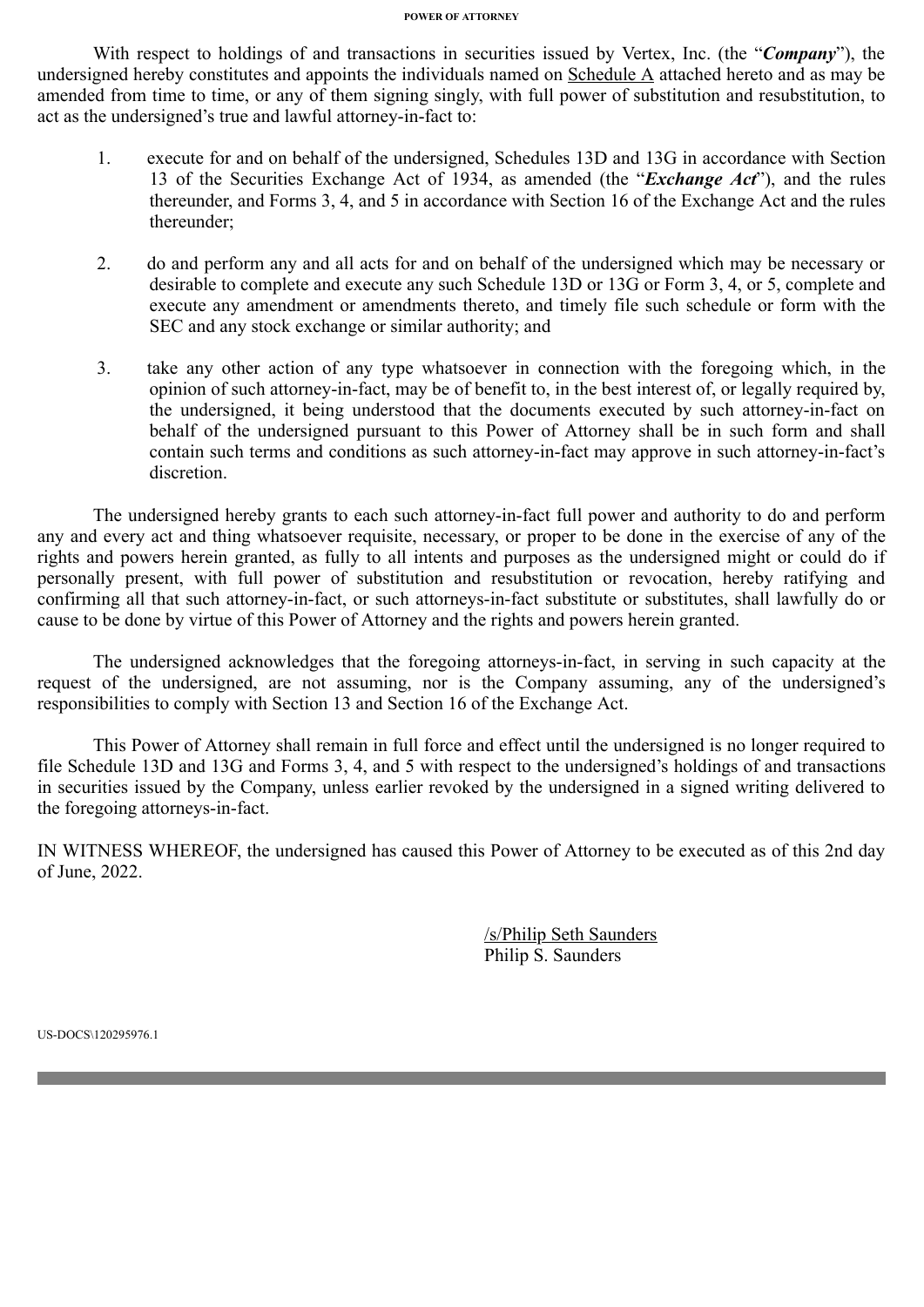## **POWER OF ATTORNEY**

With respect to holdings of and transactions in securities issued by Vertex, Inc. (the "*Company*"), the undersigned hereby constitutes and appoints the individuals named on Schedule A attached hereto and as may be amended from time to time, or any of them signing singly, with full power of substitution and resubstitution, to act as the undersigned's true and lawful attorney-in-fact to:

- 1. execute for and on behalf of the undersigned, Schedules 13D and 13G in accordance with Section 13 of the Securities Exchange Act of 1934, as amended (the "*Exchange Act*"), and the rules thereunder, and Forms 3, 4, and 5 in accordance with Section 16 of the Exchange Act and the rules thereunder;
- 2. do and perform any and all acts for and on behalf of the undersigned which may be necessary or desirable to complete and execute any such Schedule 13D or 13G or Form 3, 4, or 5, complete and execute any amendment or amendments thereto, and timely file such schedule or form with the SEC and any stock exchange or similar authority; and
- 3. take any other action of any type whatsoever in connection with the foregoing which, in the opinion of such attorney-in-fact, may be of benefit to, in the best interest of, or legally required by, the undersigned, it being understood that the documents executed by such attorney-in-fact on behalf of the undersigned pursuant to this Power of Attorney shall be in such form and shall contain such terms and conditions as such attorney-in-fact may approve in such attorney-in-fact's discretion.

The undersigned hereby grants to each such attorney-in-fact full power and authority to do and perform any and every act and thing whatsoever requisite, necessary, or proper to be done in the exercise of any of the rights and powers herein granted, as fully to all intents and purposes as the undersigned might or could do if personally present, with full power of substitution and resubstitution or revocation, hereby ratifying and confirming all that such attorney-in-fact, or such attorneys-in-fact substitute or substitutes, shall lawfully do or cause to be done by virtue of this Power of Attorney and the rights and powers herein granted.

The undersigned acknowledges that the foregoing attorneys-in-fact, in serving in such capacity at the request of the undersigned, are not assuming, nor is the Company assuming, any of the undersigned's responsibilities to comply with Section 13 and Section 16 of the Exchange Act.

This Power of Attorney shall remain in full force and effect until the undersigned is no longer required to file Schedule 13D and 13G and Forms 3, 4, and 5 with respect to the undersigned's holdings of and transactions in securities issued by the Company, unless earlier revoked by the undersigned in a signed writing delivered to the foregoing attorneys-in-fact.

IN WITNESS WHEREOF, the undersigned has caused this Power of Attorney to be executed as of this 2nd day of June, 2022.

> /s/Philip Seth Saunders Philip S. Saunders

US-DOCS\120295976.1